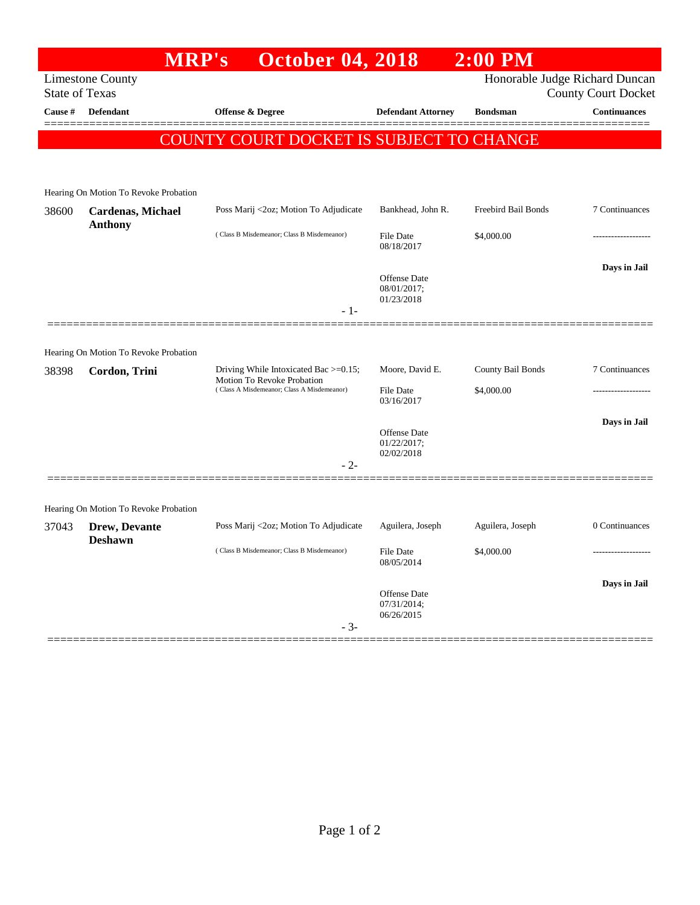|                                                           | <b>MRP's</b>                          | <b>October 04, 2018</b>                                                                                                 |                                | $2:00$ PM           |                     |  |  |
|-----------------------------------------------------------|---------------------------------------|-------------------------------------------------------------------------------------------------------------------------|--------------------------------|---------------------|---------------------|--|--|
| Honorable Judge Richard Duncan<br><b>Limestone County</b> |                                       |                                                                                                                         |                                |                     |                     |  |  |
| <b>State of Texas</b><br>County Court Docket              |                                       |                                                                                                                         |                                |                     |                     |  |  |
| Cause #                                                   | Defendant                             | <b>Offense &amp; Degree</b>                                                                                             | <b>Defendant Attorney</b>      | <b>Bondsman</b>     | <b>Continuances</b> |  |  |
|                                                           |                                       | COUNTY COURT DOCKET IS SUBJECT TO CHANGE                                                                                |                                |                     |                     |  |  |
|                                                           |                                       |                                                                                                                         |                                |                     |                     |  |  |
|                                                           |                                       |                                                                                                                         |                                |                     |                     |  |  |
|                                                           | Hearing On Motion To Revoke Probation |                                                                                                                         |                                |                     |                     |  |  |
| 38600                                                     | Cardenas, Michael<br><b>Anthony</b>   | Poss Marij <2oz; Motion To Adjudicate                                                                                   | Bankhead, John R.              | Freebird Bail Bonds | 7 Continuances      |  |  |
|                                                           |                                       | (Class B Misdemeanor; Class B Misdemeanor)                                                                              | <b>File Date</b>               | \$4,000.00          | ----------------    |  |  |
|                                                           |                                       |                                                                                                                         | 08/18/2017                     |                     |                     |  |  |
|                                                           |                                       |                                                                                                                         | Offense Date                   |                     | Days in Jail        |  |  |
|                                                           |                                       |                                                                                                                         | 08/01/2017;<br>01/23/2018      |                     |                     |  |  |
|                                                           |                                       | $-1-$                                                                                                                   |                                |                     |                     |  |  |
|                                                           |                                       |                                                                                                                         |                                |                     |                     |  |  |
|                                                           | Hearing On Motion To Revoke Probation |                                                                                                                         |                                |                     |                     |  |  |
| 38398                                                     | Cordon, Trini                         | Driving While Intoxicated Bac $\geq=0.15$ ;<br>Motion To Revoke Probation<br>(Class A Misdemeanor; Class A Misdemeanor) | Moore, David E.                | County Bail Bonds   | 7 Continuances      |  |  |
|                                                           |                                       |                                                                                                                         | <b>File Date</b><br>03/16/2017 | \$4,000.00          |                     |  |  |
|                                                           |                                       |                                                                                                                         |                                |                     | Days in Jail        |  |  |
|                                                           |                                       |                                                                                                                         | Offense Date<br>01/22/2017;    |                     |                     |  |  |
|                                                           |                                       |                                                                                                                         | 02/02/2018                     |                     |                     |  |  |
|                                                           |                                       | $-2-$                                                                                                                   |                                |                     |                     |  |  |
|                                                           |                                       |                                                                                                                         |                                |                     |                     |  |  |
|                                                           | Hearing On Motion To Revoke Probation |                                                                                                                         |                                |                     |                     |  |  |
| 37043                                                     | Drew, Devante                         | Poss Marij <2oz; Motion To Adjudicate                                                                                   | Aguilera, Joseph               | Aguilera, Joseph    | 0 Continuances      |  |  |
|                                                           | <b>Deshawn</b>                        | (Class B Misdemeanor; Class B Misdemeanor)                                                                              | <b>File Date</b><br>08/05/2014 | \$4,000.00          |                     |  |  |
|                                                           |                                       |                                                                                                                         |                                |                     | Days in Jail        |  |  |
|                                                           |                                       |                                                                                                                         | Offense Date                   |                     |                     |  |  |
|                                                           |                                       |                                                                                                                         | 07/31/2014;<br>06/26/2015      |                     |                     |  |  |
|                                                           |                                       | $-3-$                                                                                                                   |                                |                     |                     |  |  |